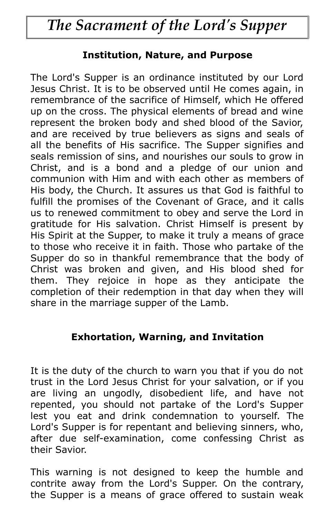# *The Sacrament of the Lord's Supper*

### **Institution, Nature, and Purpose**

The Lord's Supper is an ordinance instituted by our Lord Jesus Christ. It is to be observed until He comes again, in remembrance of the sacrifice of Himself, which He offered up on the cross. The physical elements of bread and wine represent the broken body and shed blood of the Savior, and are received by true believers as signs and seals of all the benefits of His sacrifice. The Supper signifies and seals remission of sins, and nourishes our souls to grow in Christ, and is a bond and a pledge of our union and communion with Him and with each other as members of His body, the Church. It assures us that God is faithful to fulfill the promises of the Covenant of Grace, and it calls us to renewed commitment to obey and serve the Lord in gratitude for His salvation. Christ Himself is present by His Spirit at the Supper, to make it truly a means of grace to those who receive it in faith. Those who partake of the Supper do so in thankful remembrance that the body of Christ was broken and given, and His blood shed for them. They rejoice in hope as they anticipate the completion of their redemption in that day when they will share in the marriage supper of the Lamb.

### **Exhortation, Warning, and Invitation**

It is the duty of the church to warn you that if you do not trust in the Lord Jesus Christ for your salvation, or if you are living an ungodly, disobedient life, and have not repented, you should not partake of the Lord's Supper lest you eat and drink condemnation to yourself. The Lord's Supper is for repentant and believing sinners, who, after due self-examination, come confessing Christ as their Savior.

This warning is not designed to keep the humble and contrite away from the Lord's Supper. On the contrary, the Supper is a means of grace offered to sustain weak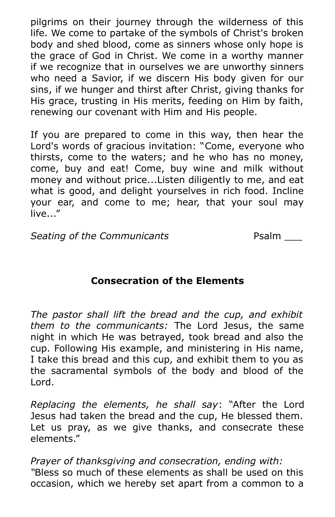pilgrims on their journey through the wilderness of this life. We come to partake of the symbols of Christ's broken body and shed blood, come as sinners whose only hope is the grace of God in Christ. We come in a worthy manner if we recognize that in ourselves we are unworthy sinners who need a Savior, if we discern His body given for our sins, if we hunger and thirst after Christ, giving thanks for His grace, trusting in His merits, feeding on Him by faith, renewing our covenant with Him and His people.

If you are prepared to come in this way, then hear the Lord's words of gracious invitation: "Come, everyone who thirsts, come to the waters; and he who has no money, come, buy and eat! Come, buy wine and milk without money and without price...Listen diligently to me, and eat what is good, and delight yourselves in rich food. Incline your ear, and come to me; hear, that your soul may live..."

**Seating of the Communicants** Psalm \_\_\_

## **Consecration of the Elements**

*The pastor shall lift the bread and the cup, and exhibit them to the communicants:* The Lord Jesus, the same night in which He was betrayed, took bread and also the cup. Following His example, and ministering in His name, I take this bread and this cup, and exhibit them to you as the sacramental symbols of the body and blood of the Lord.

*Replacing the elements, he shall say*: "After the Lord Jesus had taken the bread and the cup, He blessed them. Let us pray, as we give thanks, and consecrate these elements."

*Prayer of thanksgiving and consecration, ending with: "*Bless so much of these elements as shall be used on this occasion, which we hereby set apart from a common to a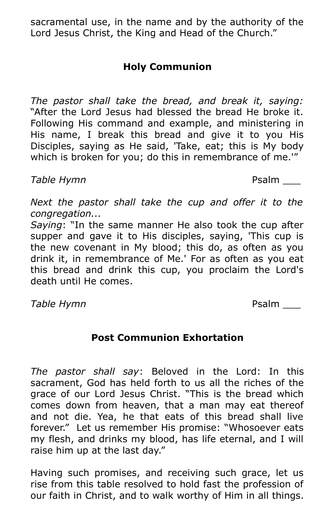sacramental use, in the name and by the authority of the Lord Jesus Christ, the King and Head of the Church."

# **Holy Communion**

*The pastor shall take the bread, and break it, saying:* "After the Lord Jesus had blessed the bread He broke it. Following His command and example, and ministering in His name, I break this bread and give it to you His Disciples, saying as He said, 'Take, eat; this is My body which is broken for you; do this in remembrance of me.<sup>1"</sup>

## **Table Hymn** Psalm 2008

*Next the pastor shall take the cup and offer it to the congregation...* 

*Saying*: "In the same manner He also took the cup after supper and gave it to His disciples, saying, 'This cup is the new covenant in My blood; this do, as often as you drink it, in remembrance of Me.' For as often as you eat this bread and drink this cup, you proclaim the Lord's death until He comes.

**Table Hymn** Psalm 2008

# **Post Communion Exhortation**

*The pastor shall say*: Beloved in the Lord: In this sacrament, God has held forth to us all the riches of the grace of our Lord Jesus Christ. "This is the bread which comes down from heaven, that a man may eat thereof and not die. Yea, he that eats of this bread shall live forever." Let us remember His promise: "Whosoever eats my flesh, and drinks my blood, has life eternal, and I will raise him up at the last day."

Having such promises, and receiving such grace, let us rise from this table resolved to hold fast the profession of our faith in Christ, and to walk worthy of Him in all things.